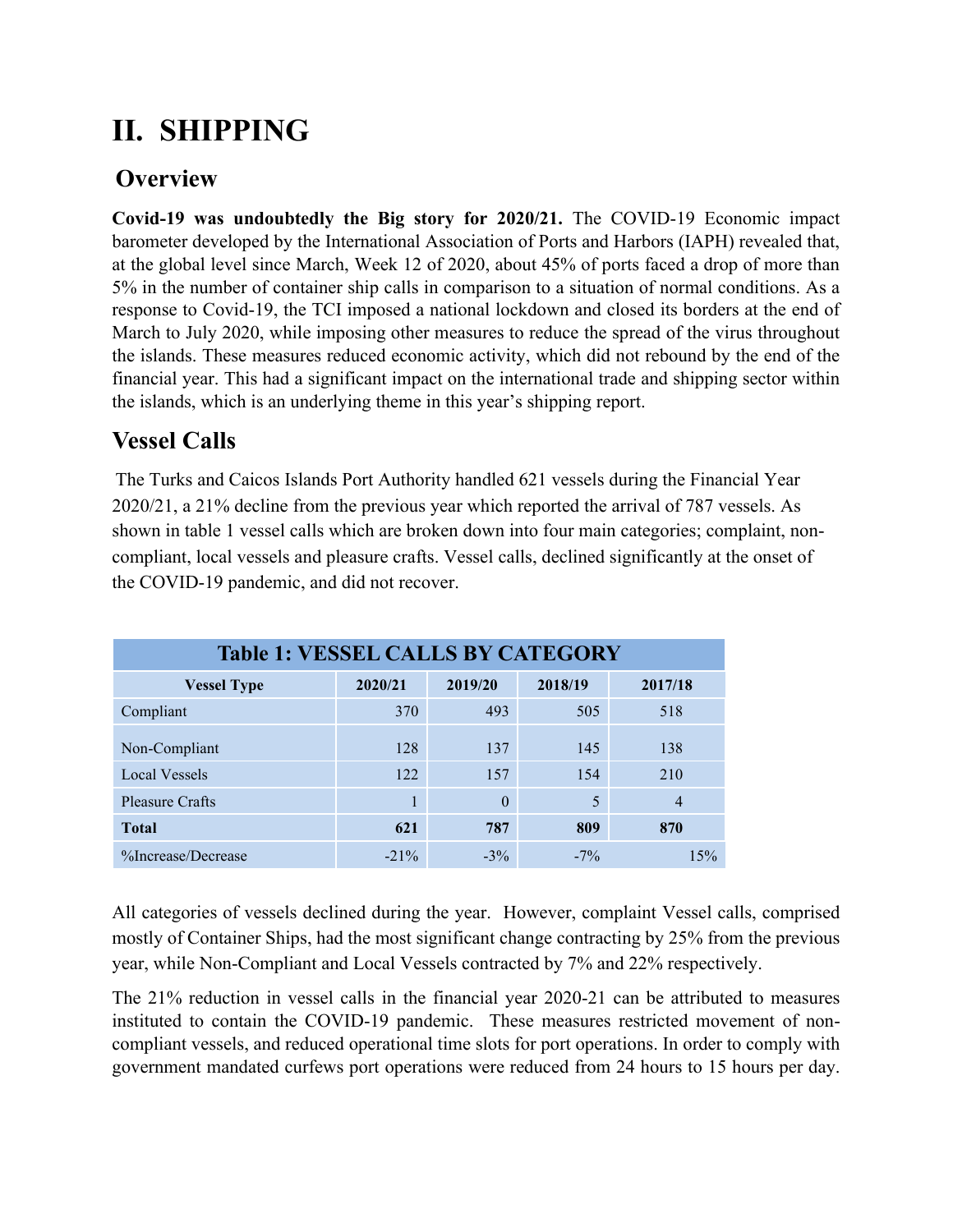## **II. SHIPPING**

## **Overview**

**Covid-19 was undoubtedly the Big story for 2020/21.** The COVID-19 Economic impact barometer developed by the International Association of Ports and Harbors (IAPH) revealed that, at the global level since March, Week 12 of 2020, about 45% of ports faced a drop of more than 5% in the number of container ship calls in comparison to a situation of normal conditions. As a response to Covid-19, the TCI imposed a national lockdown and closed its borders at the end of March to July 2020, while imposing other measures to reduce the spread of the virus throughout the islands. These measures reduced economic activity, which did not rebound by the end of the financial year. This had a significant impact on the international trade and shipping sector within the islands, which is an underlying theme in this year's shipping report.

## **Vessel Calls**

The Turks and Caicos Islands Port Authority handled 621 vessels during the Financial Year 2020/21, a 21% decline from the previous year which reported the arrival of 787 vessels. As shown in table 1 vessel calls which are broken down into four main categories; complaint, noncompliant, local vessels and pleasure crafts. Vessel calls, declined significantly at the onset of the COVID-19 pandemic, and did not recover.

| <b>Table 1: VESSEL CALLS BY CATEGORY</b> |         |          |         |         |
|------------------------------------------|---------|----------|---------|---------|
| <b>Vessel Type</b>                       | 2020/21 | 2019/20  | 2018/19 | 2017/18 |
| Compliant                                | 370     | 493      | 505     | 518     |
| Non-Compliant                            | 128     | 137      | 145     | 138     |
| <b>Local Vessels</b>                     | 122     | 157      | 154     | 210     |
| <b>Pleasure Crafts</b>                   |         | $\theta$ | 5       |         |
| <b>Total</b>                             | 621     | 787      | 809     | 870     |
| %Increase/Decrease                       | $-21\%$ | $-3\%$   | $-7\%$  | 15%     |

All categories of vessels declined during the year. However, complaint Vessel calls, comprised mostly of Container Ships, had the most significant change contracting by 25% from the previous year, while Non-Compliant and Local Vessels contracted by 7% and 22% respectively.

The 21% reduction in vessel calls in the financial year 2020-21 can be attributed to measures instituted to contain the COVID-19 pandemic. These measures restricted movement of noncompliant vessels, and reduced operational time slots for port operations. In order to comply with government mandated curfews port operations were reduced from 24 hours to 15 hours per day.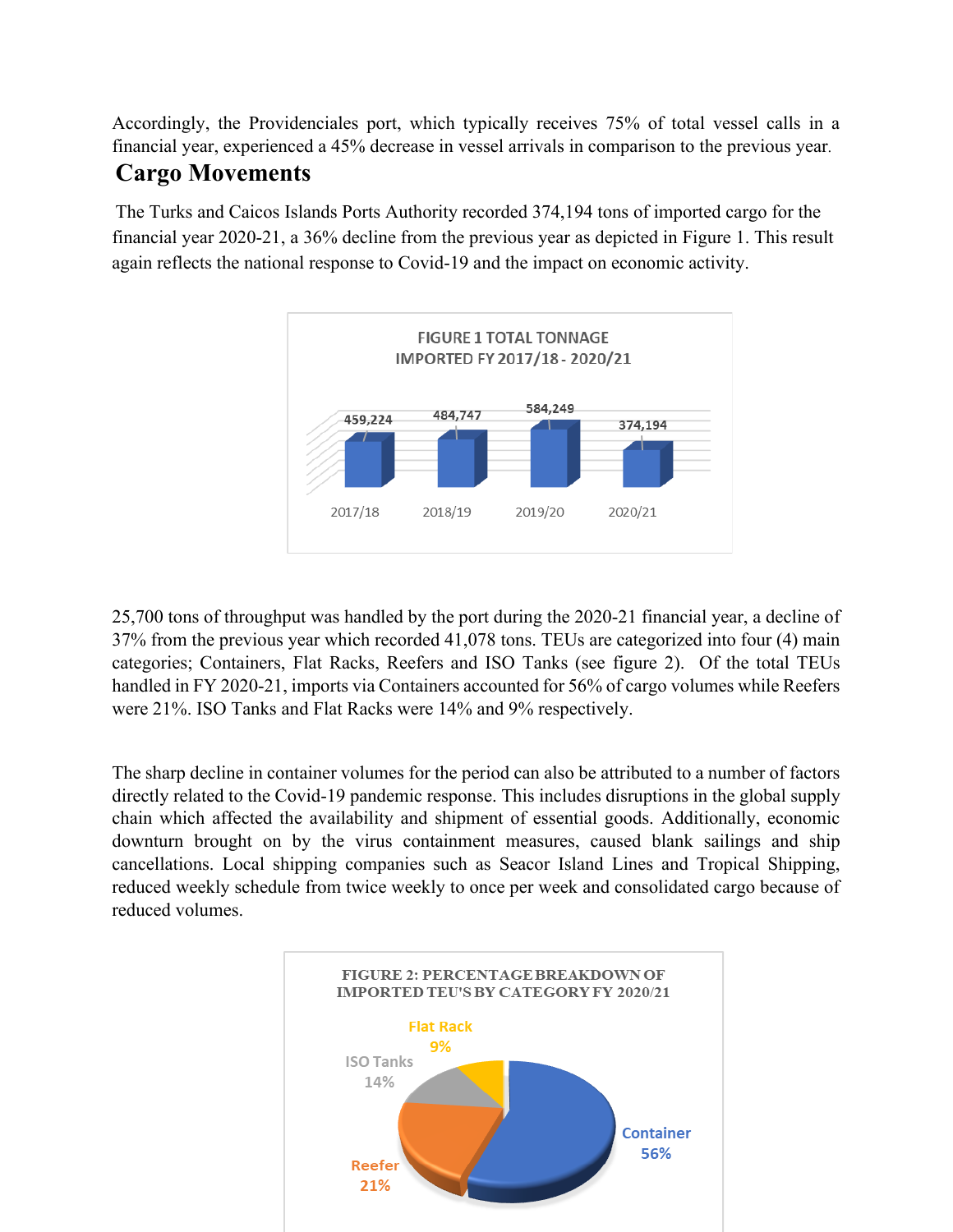Accordingly, the Providenciales port, which typically receives 75% of total vessel calls in a financial year, experienced a 45% decrease in vessel arrivals in comparison to the previous year.

## **Cargo Movements**

The Turks and Caicos Islands Ports Authority recorded 374,194 tons of imported cargo for the financial year 2020-21, a 36% decline from the previous year as depicted in Figure 1. This result again reflects the national response to Covid-19 and the impact on economic activity.



25,700 tons of throughput was handled by the port during the 2020-21 financial year, a decline of 37% from the previous year which recorded 41,078 tons. TEUs are categorized into four (4) main categories; Containers, Flat Racks, Reefers and ISO Tanks (see figure 2). Of the total TEUs handled in FY 2020-21, imports via Containers accounted for 56% of cargo volumes while Reefers were 21%. ISO Tanks and Flat Racks were 14% and 9% respectively.

The sharp decline in container volumes for the period can also be attributed to a number of factors directly related to the Covid-19 pandemic response. This includes disruptions in the global supply chain which affected the availability and shipment of essential goods. Additionally, economic downturn brought on by the virus containment measures, caused blank sailings and ship cancellations. Local shipping companies such as Seacor Island Lines and Tropical Shipping, reduced weekly schedule from twice weekly to once per week and consolidated cargo because of reduced volumes.

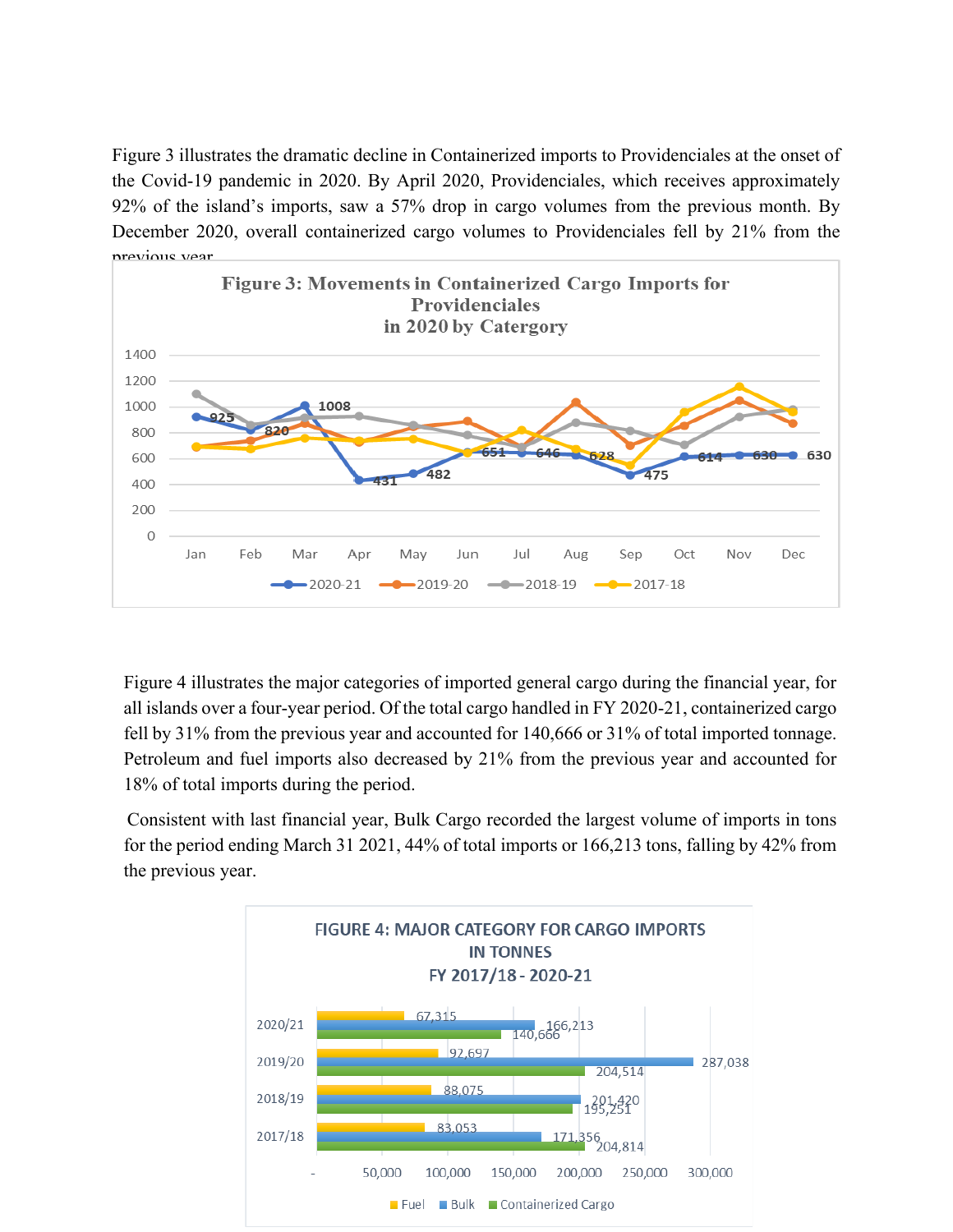Figure 3 illustrates the dramatic decline in Containerized imports to Providenciales at the onset of the Covid-19 pandemic in 2020. By April 2020, Providenciales, which receives approximately 92% of the island's imports, saw a 57% drop in cargo volumes from the previous month. By December 2020, overall containerized cargo volumes to Providenciales fell by 21% from the previous year.



Figure 4 illustrates the major categories of imported general cargo during the financial year, for all islands over a four-year period. Of the total cargo handled in FY 2020-21, containerized cargo fell by 31% from the previous year and accounted for 140,666 or 31% of total imported tonnage. Petroleum and fuel imports also decreased by 21% from the previous year and accounted for 18% of total imports during the period.

Consistent with last financial year, Bulk Cargo recorded the largest volume of imports in tons for the period ending March 31 2021, 44% of total imports or 166,213 tons, falling by 42% from the previous year.